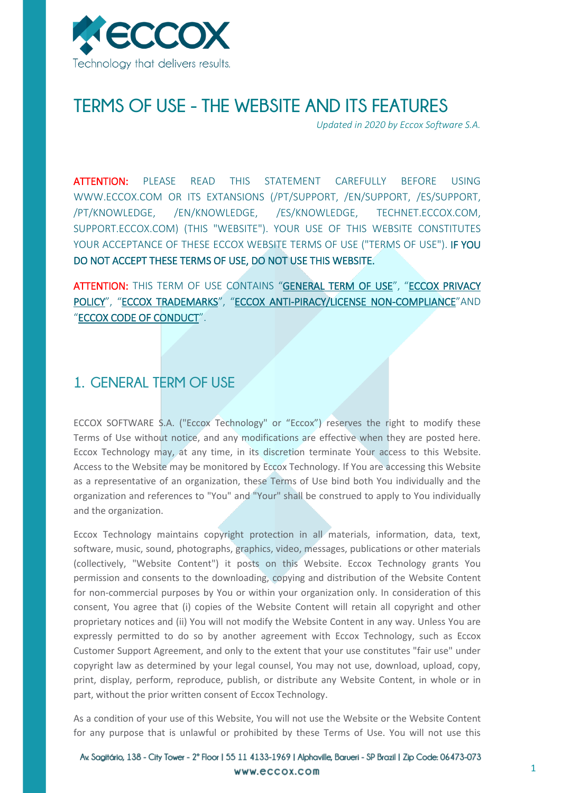

# **TERMS OF USE - THE WEBSITE AND ITS FEATURES**

*Updated in 2020 by Eccox Software S.A.*

ATTENTION: PLEASE READ THIS STATEMENT CAREFULLY BEFORE USING WWW.ECCOX.COM OR ITS EXTANSIONS (/PT/SUPPORT, /EN/SUPPORT, /ES/SUPPORT, /PT/KNOWLEDGE, /EN/KNOWLEDGE, /ES/KNOWLEDGE, TECHNET.ECCOX.COM, SUPPORT.ECCOX.COM) (THIS "WEBSITE"). YOUR USE OF THIS WEBSITE CONSTITUTES YOUR ACCEPTANCE OF THESE ECCOX WEBSITE TERMS OF USE ("TERMS OF USE"). IF YOU DO NOT ACCEPT THESE TERMS OF USE, DO NOT USE THIS WEBSITE.

ATTENTION: THIS TERM OF USE CONTAINS "[GENERAL TERM OF USE](#page-0-0)", "ECCOX PRIVACY [POLICY](#page-4-0)", "[ECCOX TRADEMARKS](#page-8-0)", "ECCOX [ANTI-PIRACY/LICENSE NON-COMPLIANCE](#page-9-0)"AND "[ECCOX CODE OF CONDUCT](#page-10-0)".

## <span id="page-0-0"></span>**1. GENERAL TERM OF USE**

ECCOX SOFTWARE S.A. ("Eccox Technology" or "Eccox") reserves the right to modify these Terms of Use without notice, and any modifications are effective when they are posted here. Eccox Technology may, at any time, in its discretion terminate Your access to this Website. Access to the Website may be monitored by Eccox Technology. If You are accessing this Website as a representative of an organization, these Terms of Use bind both You individually and the organization and references to "You" and "Your" shall be construed to apply to You individually and the organization.

Eccox Technology maintains copyright protection in all materials, information, data, text, software, music, sound, photographs, graphics, video, messages, publications or other materials (collectively, "Website Content") it posts on this Website. Eccox Technology grants You permission and consents to the downloading, copying and distribution of the Website Content for non-commercial purposes by You or within your organization only. In consideration of this consent, You agree that (i) copies of the Website Content will retain all copyright and other proprietary notices and (ii) You will not modify the Website Content in any way. Unless You are expressly permitted to do so by another agreement with Eccox Technology, such as Eccox Customer Support Agreement, and only to the extent that your use constitutes "fair use" under copyright law as determined by your legal counsel, You may not use, download, upload, copy, print, display, perform, reproduce, publish, or distribute any Website Content, in whole or in part, without the prior written consent of Eccox Technology.

As a condition of your use of this Website, You will not use the Website or the Website Content for any purpose that is unlawful or prohibited by these Terms of Use. You will not use this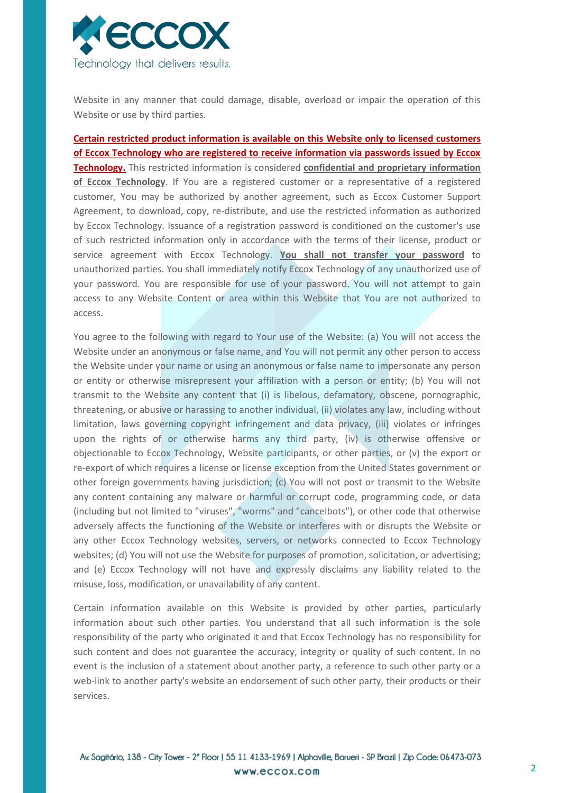

Website in any manner that could damage, disable, overload or impair the operation of this Website or use by third parties.

**Certain restricted product information is available on this Website only to licensed customers of Eccox Technology who are registered to receive information via passwords issued by Eccox Technology.** This restricted information is considered **confidential and proprietary information of Eccox Technology**. If You are a registered customer or a representative of a registered customer, You may be authorized by another agreement, such as Eccox Customer Support Agreement, to download, copy, re-distribute, and use the restricted information as authorized by Eccox Technology. Issuance of a registration password is conditioned on the customer's use of such restricted information only in accordance with the terms of their license, product or service agreement with Eccox Technology. **You shall not transfer your password** to unauthorized parties. You shall immediately notify Eccox Technology of any unauthorized use of your password. You are responsible for use of your password. You will not attempt to gain access to any Website Content or area within this Website that You are not authorized to access.

You agree to the following with regard to Your use of the Website: (a) You will not access the Website under an anonymous or false name, and You will not permit any other person to access the Website under your name or using an anonymous or false name to impersonate any person or entity or otherwise misrepresent your affiliation with a person or entity; (b) You will not transmit to the Website any content that (i) is libelous, defamatory, obscene, pornographic, threatening, or abusive or harassing to another individual, (ii) violates any law, including without limitation, laws governing copyright infringement and data privacy, (iii) violates or infringes upon the rights of or otherwise harms any third party, (iv) is otherwise offensive or objectionable to Eccox Technology, Website participants, or other parties, or (v) the export or re-export of which requires a license or license exception from the United States government or other foreign governments having jurisdiction; (c) You will not post or transmit to the Website any content containing any malware or harmful or corrupt code, programming code, or data (including but not limited to "viruses", "worms" and "cancelbots"), or other code that otherwise adversely affects the functioning of the Website or interferes with or disrupts the Website or any other Eccox Technology websites, servers, or networks connected to Eccox Technology websites; (d) You will not use the Website for purposes of promotion, solicitation, or advertising; and (e) Eccox Technology will not have and expressly disclaims any liability related to the misuse, loss, modification, or unavailability of any content.

Certain information available on this Website is provided by other parties, particularly information about such other parties. You understand that all such information is the sole responsibility of the party who originated it and that Eccox Technology has no responsibility for such content and does not guarantee the accuracy, integrity or quality of such content. In no event is the inclusion of a statement about another party, a reference to such other party or a web-link to another party's website an endorsement of such other party, their products or their services.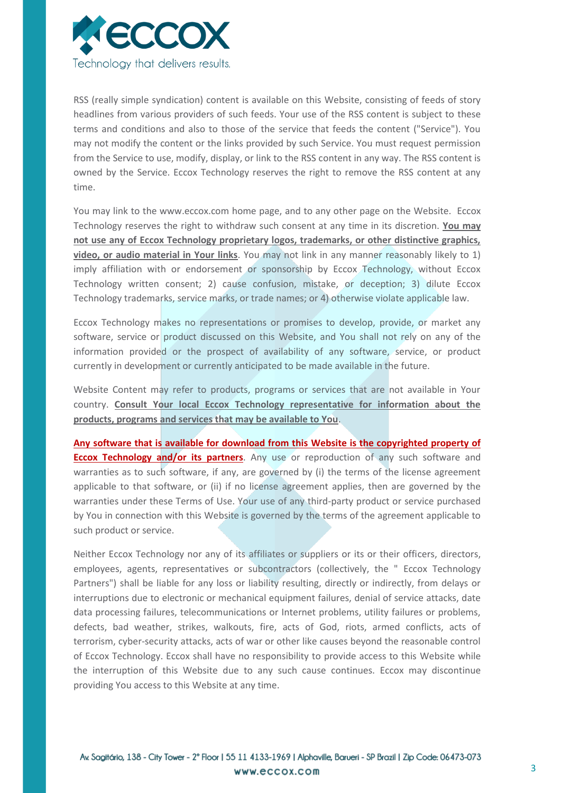

RSS (really simple syndication) content is available on this Website, consisting of feeds of story headlines from various providers of such feeds. Your use of the RSS content is subject to these terms and conditions and also to those of the service that feeds the content ("Service"). You may not modify the content or the links provided by such Service. You must request permission from the Service to use, modify, display, or link to the RSS content in any way. The RSS content is owned by the Service. Eccox Technology reserves the right to remove the RSS content at any time.

You may link to the www.eccox.com home page, and to any other page on the Website. Eccox Technology reserves the right to withdraw such consent at any time in its discretion. **You may not use any of Eccox Technology proprietary logos, trademarks, or other distinctive graphics, video, or audio material in Your links**. You may not link in any manner reasonably likely to 1) imply affiliation with or endorsement or sponsorship by Eccox Technology, without Eccox Technology written consent; 2) cause confusion, mistake, or deception; 3) dilute Eccox Technology trademarks, service marks, or trade names; or 4) otherwise violate applicable law.

Eccox Technology makes no representations or promises to develop, provide, or market any software, service or product discussed on this Website, and You shall not rely on any of the information provided or the prospect of availability of any software, service, or product currently in development or currently anticipated to be made available in the future.

Website Content may refer to products, programs or services that are not available in Your country. **Consult Your local Eccox Technology representative for information about the products, programs and services that may be available to You**.

**Any software that is available for download from this Website is the copyrighted property of Eccox Technology and/or its partners**. Any use or reproduction of any such software and warranties as to such software, if any, are governed by (i) the terms of the license agreement applicable to that software, or (ii) if no license agreement applies, then are governed by the warranties under these Terms of Use. Your use of any third-party product or service purchased by You in connection with this Website is governed by the terms of the agreement applicable to such product or service.

Neither Eccox Technology nor any of its affiliates or suppliers or its or their officers, directors, employees, agents, representatives or subcontractors (collectively, the " Eccox Technology Partners") shall be liable for any loss or liability resulting, directly or indirectly, from delays or interruptions due to electronic or mechanical equipment failures, denial of service attacks, date data processing failures, telecommunications or Internet problems, utility failures or problems, defects, bad weather, strikes, walkouts, fire, acts of God, riots, armed conflicts, acts of terrorism, cyber-security attacks, acts of war or other like causes beyond the reasonable control of Eccox Technology. Eccox shall have no responsibility to provide access to this Website while the interruption of this Website due to any such cause continues. Eccox may discontinue providing You access to this Website at any time.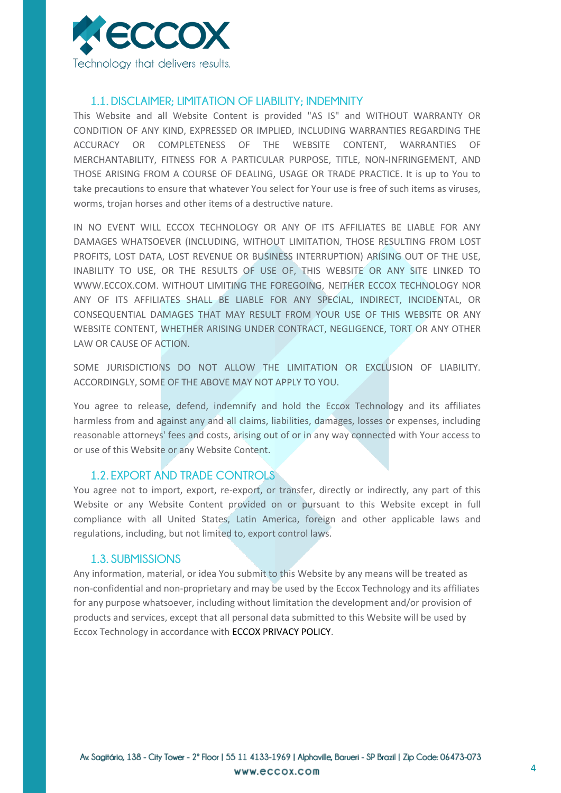

## **1.1. DISCLAIMER; LIMITATION OF LIABILITY; INDEMNITY**

This Website and all Website Content is provided "AS IS" and WITHOUT WARRANTY OR CONDITION OF ANY KIND, EXPRESSED OR IMPLIED, INCLUDING WARRANTIES REGARDING THE ACCURACY OR COMPLETENESS OF THE WEBSITE CONTENT, WARRANTIES OF MERCHANTABILITY, FITNESS FOR A PARTICULAR PURPOSE, TITLE, NON-INFRINGEMENT, AND THOSE ARISING FROM A COURSE OF DEALING, USAGE OR TRADE PRACTICE. It is up to You to take precautions to ensure that whatever You select for Your use is free of such items as viruses, worms, trojan horses and other items of a destructive nature.

IN NO EVENT WILL ECCOX TECHNOLOGY OR ANY OF ITS AFFILIATES BE LIABLE FOR ANY DAMAGES WHATSOEVER (INCLUDING, WITHOUT LIMITATION, THOSE RESULTING FROM LOST PROFITS, LOST DATA, LOST REVENUE OR BUSINESS INTERRUPTION) ARISING OUT OF THE USE, INABILITY TO USE, OR THE RESULTS OF USE OF, THIS WEBSITE OR ANY SITE LINKED TO WWW.ECCOX.COM. WITHOUT LIMITING THE FOREGOING, NEITHER ECCOX TECHNOLOGY NOR ANY OF ITS AFFILIATES SHALL BE LIABLE FOR ANY SPECIAL, INDIRECT, INCIDENTAL, OR CONSEQUENTIAL DAMAGES THAT MAY RESULT FROM YOUR USE OF THIS WEBSITE OR ANY WEBSITE CONTENT, WHETHER ARISING UNDER CONTRACT, NEGLIGENCE, TORT OR ANY OTHER LAW OR CAUSE OF ACTION.

SOME JURISDICTIONS DO NOT ALLOW THE LIMITATION OR EXCLUSION OF LIABILITY. ACCORDINGLY, SOME OF THE ABOVE MAY NOT APPLY TO YOU.

You agree to release, defend, indemnify and hold the Eccox Technology and its affiliates harmless from and against any and all claims, liabilities, damages, losses or expenses, including reasonable attorneys' fees and costs, arising out of or in any way connected with Your access to or use of this Website or any Website Content.

## **1.2. EXPORT AND TRADE CONTROLS**

You agree not to import, export, re-export, or transfer, directly or indirectly, any part of this Website or any Website Content provided on or pursuant to this Website except in full compliance with all United States, Latin America, foreign and other applicable laws and regulations, including, but not limited to, export control laws.

#### **1.3. SUBMISSIONS**

Any information, material, or idea You submit to this Website by any means will be treated as non-confidential and non-proprietary and may be used by the Eccox Technology and its affiliates for any purpose whatsoever, including without limitation the development and/or provision of products and services, except that all personal data submitted to this Website will be used by Eccox Technology in accordance with [ECCOX PRIVACY POLICY.](#page-4-0)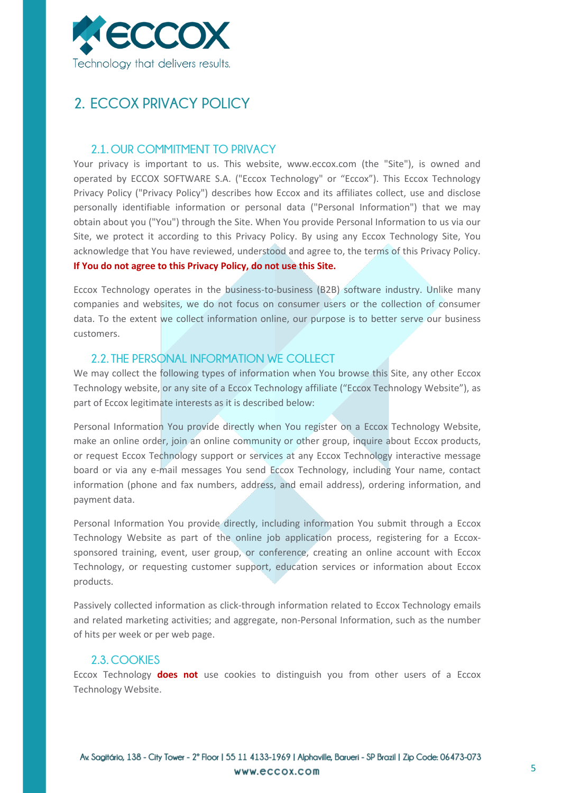

## <span id="page-4-0"></span>**2. ECCOX PRIVACY POLICY**

### **2.1. OUR COMMITMENT TO PRIVACY**

Your privacy is important to us. This website, www.eccox.com (the "Site"), is owned and operated by ECCOX SOFTWARE S.A. ("Eccox Technology" or "Eccox"). This Eccox Technology Privacy Policy ("Privacy Policy") describes how Eccox and its affiliates collect, use and disclose personally identifiable information or personal data ("Personal Information") that we may obtain about you ("You") through the Site. When You provide Personal Information to us via our Site, we protect it according to this Privacy Policy. By using any Eccox Technology Site, You acknowledge that You have reviewed, understood and agree to, the terms of this Privacy Policy. **If You do not agree to this Privacy Policy, do not use this Site.**

Eccox Technology operates in the business-to-business (B2B) software industry. Unlike many companies and websites, we do not focus on consumer users or the collection of consumer data. To the extent we collect information online, our purpose is to better serve our business customers.

## **2.2. THE PERSONAL INFORMATION WE COLLECT**

We may collect the following types of information when You browse this Site, any other Eccox Technology website, or any site of a Eccox Technology affiliate ("Eccox Technology Website"), as part of Eccox legitimate interests as it is described below:

Personal Information You provide directly when You register on a Eccox Technology Website, make an online order, join an online community or other group, inquire about Eccox products, or request Eccox Technology support or services at any Eccox Technology interactive message board or via any e-mail messages You send Eccox Technology, including Your name, contact information (phone and fax numbers, address, and email address), ordering information, and payment data.

Personal Information You provide directly, including information You submit through a Eccox Technology Website as part of the online job application process, registering for a Eccoxsponsored training, event, user group, or conference, creating an online account with Eccox Technology, or requesting customer support, education services or information about Eccox products.

Passively collected information as click-through information related to Eccox Technology emails and related marketing activities; and aggregate, non-Personal Information, such as the number of hits per week or per web page.

### **2.3. COOKIES**

Eccox Technology **does not** use cookies to distinguish you from other users of a Eccox Technology Website.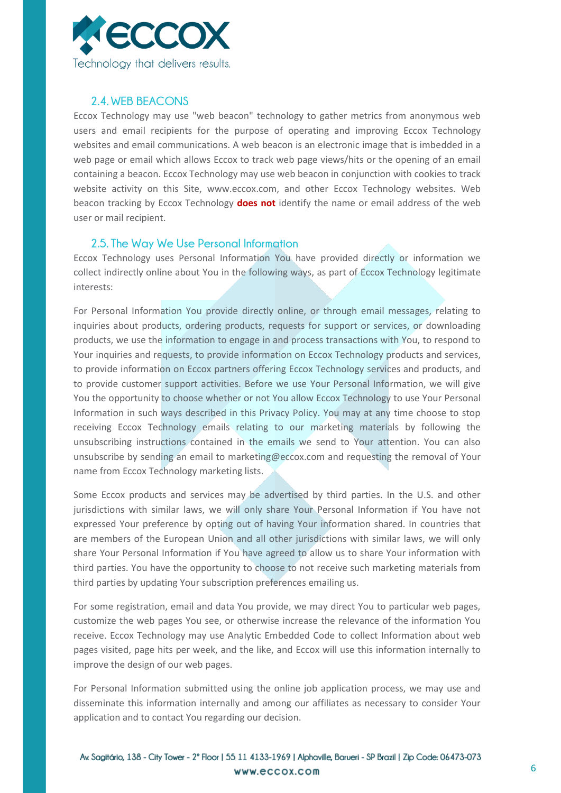

## **2.4. WEB BEACONS**

Eccox Technology may use "web beacon" technology to gather metrics from anonymous web users and email recipients for the purpose of operating and improving Eccox Technology websites and email communications. A web beacon is an electronic image that is imbedded in a web page or email which allows Eccox to track web page views/hits or the opening of an email containing a beacon. Eccox Technology may use web beacon in conjunction with cookies to track website activity on this Site, www.eccox.com, and other Eccox Technology websites. Web beacon tracking by Eccox Technology **does not** identify the name or email address of the web user or mail recipient.

### **2.5. The Way We Use Personal Information**

Eccox Technology uses Personal Information You have provided directly or information we collect indirectly online about You in the following ways, as part of Eccox Technology legitimate interests:

For Personal Information You provide directly online, or through email messages, relating to inquiries about products, ordering products, requests for support or services, or downloading products, we use the information to engage in and process transactions with You, to respond to Your inquiries and requests, to provide information on Eccox Technology products and services, to provide information on Eccox partners offering Eccox Technology services and products, and to provide customer support activities. Before we use Your Personal Information, we will give You the opportunity to choose whether or not You allow Eccox Technology to use Your Personal Information in such ways described in this Privacy Policy. You may at any time choose to stop receiving Eccox Technology emails relating to our marketing materials by following the unsubscribing instructions contained in the emails we send to Your attention. You can also unsubscribe by sending an email to marketing@eccox.com and requesting the removal of Your name from Eccox Technology marketing lists.

Some Eccox products and services may be advertised by third parties. In the U.S. and other jurisdictions with similar laws, we will only share Your Personal Information if You have not expressed Your preference by opting out of having Your information shared. In countries that are members of the European Union and all other jurisdictions with similar laws, we will only share Your Personal Information if You have agreed to allow us to share Your information with third parties. You have the opportunity to choose to not receive such marketing materials from third parties by updating Your subscription preferences emailing us.

For some registration, email and data You provide, we may direct You to particular web pages, customize the web pages You see, or otherwise increase the relevance of the information You receive. Eccox Technology may use Analytic Embedded Code to collect Information about web pages visited, page hits per week, and the like, and Eccox will use this information internally to improve the design of our web pages.

For Personal Information submitted using the online job application process, we may use and disseminate this information internally and among our affiliates as necessary to consider Your application and to contact You regarding our decision.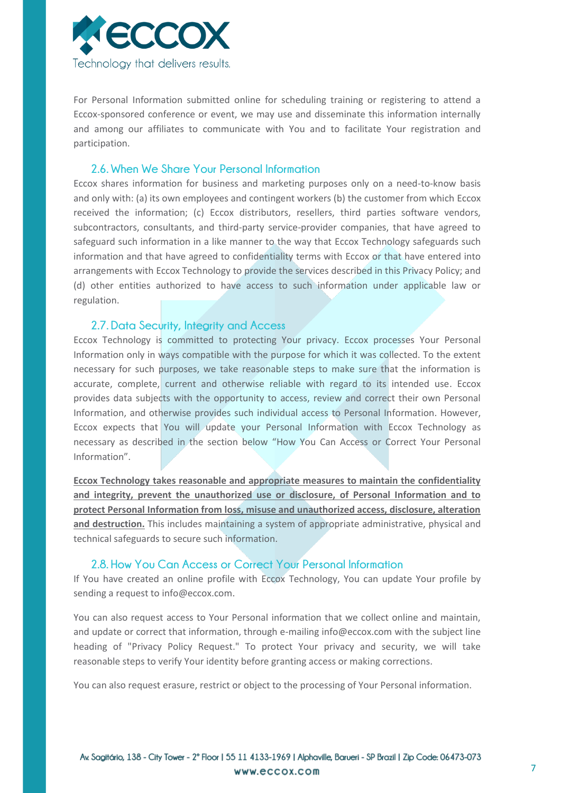

For Personal Information submitted online for scheduling training or registering to attend a Eccox-sponsored conference or event, we may use and disseminate this information internally and among our affiliates to communicate with You and to facilitate Your registration and participation.

#### **2.6. When We Share Your Personal Information**

Eccox shares information for business and marketing purposes only on a need-to-know basis and only with: (a) its own employees and contingent workers (b) the customer from which Eccox received the information; (c) Eccox distributors, resellers, third parties software vendors, subcontractors, consultants, and third-party service-provider companies, that have agreed to safeguard such information in a like manner to the way that Eccox Technology safeguards such information and that have agreed to confidentiality terms with Eccox or that have entered into arrangements with Eccox Technology to provide the services described in this Privacy Policy; and (d) other entities authorized to have access to such information under applicable law or regulation.

### **2.7. Data Security, Integrity and Access**

Eccox Technology is committed to protecting Your privacy. Eccox processes Your Personal Information only in ways compatible with the purpose for which it was collected. To the extent necessary for such purposes, we take reasonable steps to make sure that the information is accurate, complete, current and otherwise reliable with regard to its intended use. Eccox provides data subjects with the opportunity to access, review and correct their own Personal Information, and otherwise provides such individual access to Personal Information. However, Eccox expects that You will update your Personal Information with Eccox Technology as necessary as described in the section below "How You Can Access or Correct Your Personal Information".

**Eccox Technology takes reasonable and appropriate measures to maintain the confidentiality and integrity, prevent the unauthorized use or disclosure, of Personal Information and to protect Personal Information from loss, misuse and unauthorized access, disclosure, alteration and destruction.** This includes maintaining a system of appropriate administrative, physical and technical safeguards to secure such information.

#### **2.8. How You Can Access or Correct Your Personal Information**

If You have created an online profile with Eccox Technology, You can update Your profile by sending a request to info@eccox.com.

You can also request access to Your Personal information that we collect online and maintain, and update or correct that information, through e-mailing info@eccox.com with the subject line heading of "Privacy Policy Request." To protect Your privacy and security, we will take reasonable steps to verify Your identity before granting access or making corrections.

You can also request erasure, restrict or object to the processing of Your Personal information.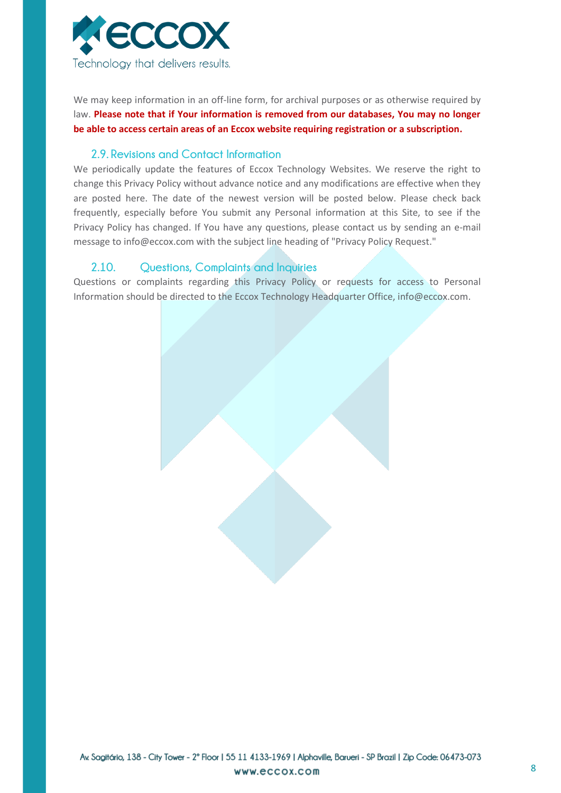

We may keep information in an off-line form, for archival purposes or as otherwise required by law. **Please note that if Your information is removed from our databases, You may no longer be able to access certain areas of an Eccox website requiring registration or a subscription.**

### **2.9. Revisions and Contact Information**

We periodically update the features of Eccox Technology Websites. We reserve the right to change this Privacy Policy without advance notice and any modifications are effective when they are posted here. The date of the newest version will be posted below. Please check back frequently, especially before You submit any Personal information at this Site, to see if the Privacy Policy has changed. If You have any questions, please contact us by sending an e-mail message to info@eccox.com with the subject line heading of "Privacy Policy Request."

## **2.10. Questions, Complaints and Inquiries**

Questions or complaints regarding this Privacy Policy or requests for access to Personal Information should be directed to the Eccox Technology Headquarter Office, info@eccox.com.

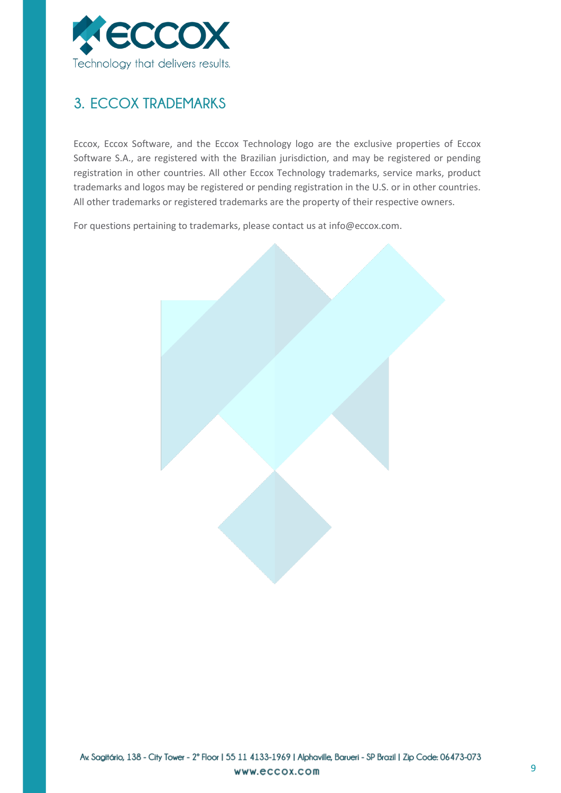

# <span id="page-8-0"></span>**3. ECCOX TRADEMARKS**

Eccox, Eccox Software, and the Eccox Technology logo are the exclusive properties of Eccox Software S.A., are registered with the Brazilian jurisdiction, and may be registered or pending registration in other countries. All other Eccox Technology trademarks, service marks, product trademarks and logos may be registered or pending registration in the U.S. or in other countries. All other trademarks or registered trademarks are the property of their respective owners.

For questions pertaining to trademarks, please contact us at info@eccox.com.

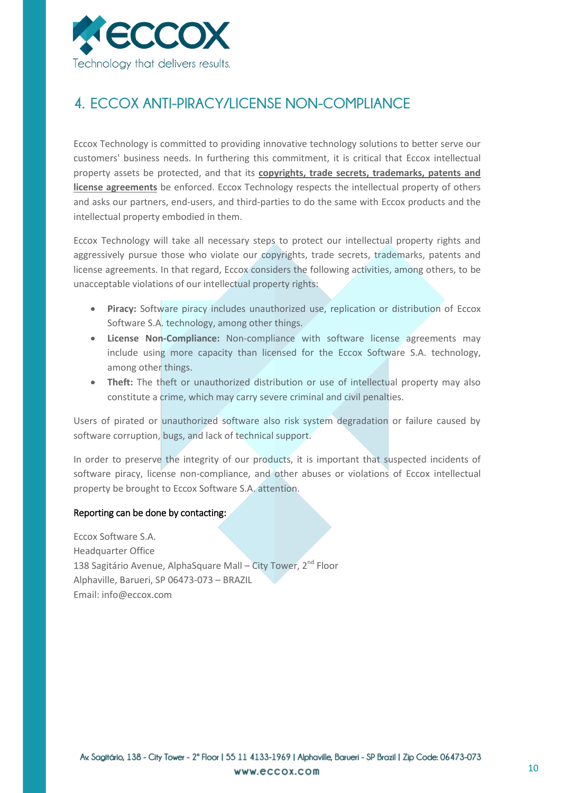

## <span id="page-9-0"></span>**4. ECCOX ANTI-PIRACY/LICENSE NON-COMPLIANCE**

Eccox Technology is committed to providing innovative technology solutions to better serve our customers' business needs. In furthering this commitment, it is critical that Eccox intellectual property assets be protected, and that its **copyrights, trade secrets, trademarks, patents and license agreements** be enforced. Eccox Technology respects the intellectual property of others and asks our partners, end-users, and third-parties to do the same with Eccox products and the intellectual property embodied in them.

Eccox Technology will take all necessary steps to protect our intellectual property rights and aggressively pursue those who violate our copyrights, trade secrets, trademarks, patents and license agreements. In that regard, Eccox considers the following activities, among others, to be unacceptable violations of our intellectual property rights:

- **Piracy:** Software piracy includes unauthorized use, replication or distribution of Eccox Software S.A. technology, among other things.
- **License Non-Compliance:** Non-compliance with software license agreements may include using more capacity than licensed for the Eccox Software S.A. technology, among other things.
- **Theft:** The theft or unauthorized distribution or use of intellectual property may also constitute a crime, which may carry severe criminal and civil penalties.

Users of pirated or unauthorized software also risk system degradation or failure caused by software corruption, bugs, and lack of technical support.

In order to preserve the integrity of our products, it is important that suspected incidents of software piracy, license non-compliance, and other abuses or violations of Eccox intellectual property be brought to Eccox Software S.A. attention.

#### Reporting can be done by contacting:

Eccox Software S.A. Headquarter Office 138 Sagitário Avenue, AlphaSquare Mall – City Tower, 2<sup>nd</sup> Floor Alphaville, Barueri, SP 06473-073 – BRAZIL Email: info@eccox.com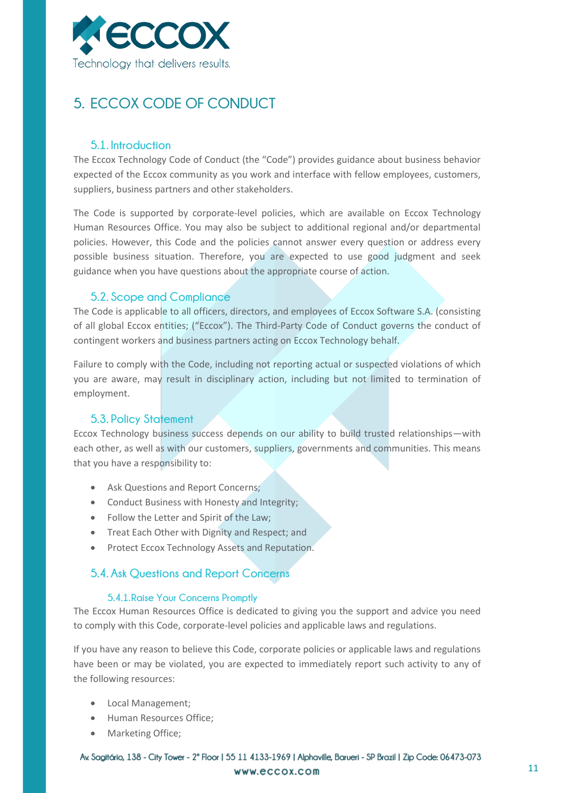

# <span id="page-10-0"></span>**5. ECCOX CODE OF CONDUCT**

## **5.1. Introduction**

The Eccox Technology Code of Conduct (the "Code") provides guidance about business behavior expected of the Eccox community as you work and interface with fellow employees, customers, suppliers, business partners and other stakeholders.

The Code is supported by corporate-level policies, which are available on Eccox Technology Human Resources Office. You may also be subject to additional regional and/or departmental policies. However, this Code and the policies cannot answer every question or address every possible business situation. Therefore, you are expected to use good judgment and seek guidance when you have questions about the appropriate course of action.

### **5.2. Scope and Compliance**

The Code is applicable to all officers, directors, and employees of Eccox Software S.A. (consisting of all global Eccox entities; ("Eccox"). The Third-Party Code of Conduct governs the conduct of contingent workers and business partners acting on Eccox Technology behalf.

Failure to comply with the Code, including not reporting actual or suspected violations of which you are aware, may result in disciplinary action, including but not limited to termination of employment.

## **5.3. Policy Statement**

Eccox Technology business success depends on our ability to build trusted relationships—with each other, as well as with our customers, suppliers, governments and communities. This means that you have a responsibility to:

- Ask Questions and Report Concerns;
- Conduct Business with Honesty and Integrity;
- Follow the Letter and Spirit of the Law;
- **•** Treat Each Other with Dignity and Respect; and
- Protect Eccox Technology Assets and Reputation.

## **5.4. Ask Questions and Report Concerns**

#### **5.4.1.Raise Your Concerns Promptly**

The Eccox Human Resources Office is dedicated to giving you the support and advice you need to comply with this Code, corporate-level policies and applicable laws and regulations.

If you have any reason to believe this Code, corporate policies or applicable laws and regulations have been or may be violated, you are expected to immediately report such activity to any of the following resources:

- Local Management;
- Human Resources Office;
- Marketing Office;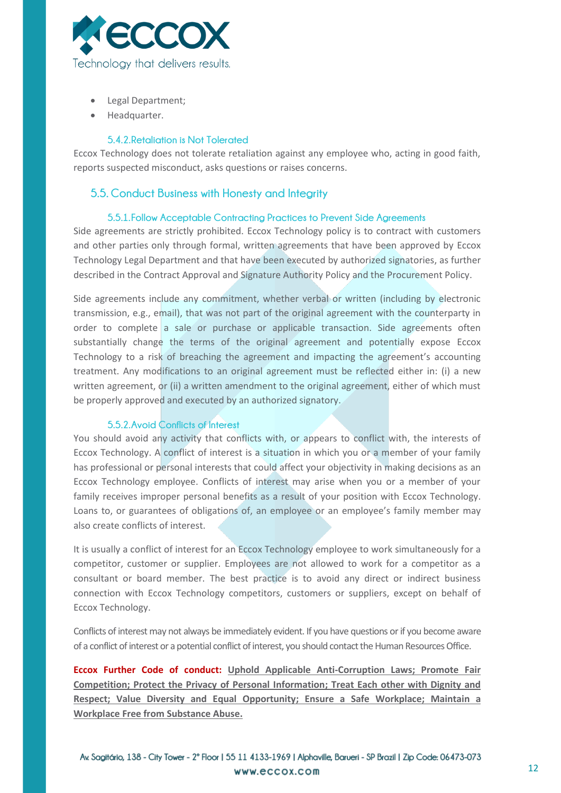

- Legal Department;
- Headquarter.

#### **5.4.2.Retaliation is Not Tolerated**

Eccox Technology does not tolerate retaliation against any employee who, acting in good faith, reports suspected misconduct, asks questions or raises concerns.

### **5.5. Conduct Business with Honesty and Integrity**

#### **5.5.1.Follow Acceptable Contracting Practices to Prevent Side Agreements**

Side agreements are strictly prohibited. Eccox Technology policy is to contract with customers and other parties only through formal, written agreements that have been approved by Eccox Technology Legal Department and that have been executed by authorized signatories, as further described in the Contract Approval and Signature Authority Policy and the Procurement Policy.

Side agreements include any commitment, whether verbal or written (including by electronic transmission, e.g., email), that was not part of the original agreement with the counterparty in order to complete a sale or purchase or applicable transaction. Side agreements often substantially change the terms of the original agreement and potentially expose Eccox Technology to a risk of breaching the agreement and impacting the agreement's accounting treatment. Any modifications to an original agreement must be reflected either in: (i) a new written agreement, or (ii) a written amendment to the original agreement, either of which must be properly approved and executed by an authorized signatory.

#### **5.5.2.Avoid Conflicts of Interest**

You should avoid any activity that conflicts with, or appears to conflict with, the interests of Eccox Technology. A conflict of interest is a situation in which you or a member of your family has professional or personal interests that could affect your objectivity in making decisions as an Eccox Technology employee. Conflicts of interest may arise when you or a member of your family receives improper personal benefits as a result of your position with Eccox Technology. Loans to, or guarantees of obligations of, an employee or an employee's family member may also create conflicts of interest.

It is usually a conflict of interest for an Eccox Technology employee to work simultaneously for a competitor, customer or supplier. Employees are not allowed to work for a competitor as a consultant or board member. The best practice is to avoid any direct or indirect business connection with Eccox Technology competitors, customers or suppliers, except on behalf of Eccox Technology.

Conflicts of interest may not always be immediately evident. If you have questions or if you become aware of a conflict of interest or a potential conflict of interest, you should contact the Human ResourcesOffice.

**Eccox Further Code of conduct: Uphold Applicable Anti-Corruption Laws; Promote Fair Competition; Protect the Privacy of Personal Information; Treat Each other with Dignity and Respect; Value Diversity and Equal Opportunity; Ensure a Safe Workplace; Maintain a Workplace Free from Substance Abuse.**